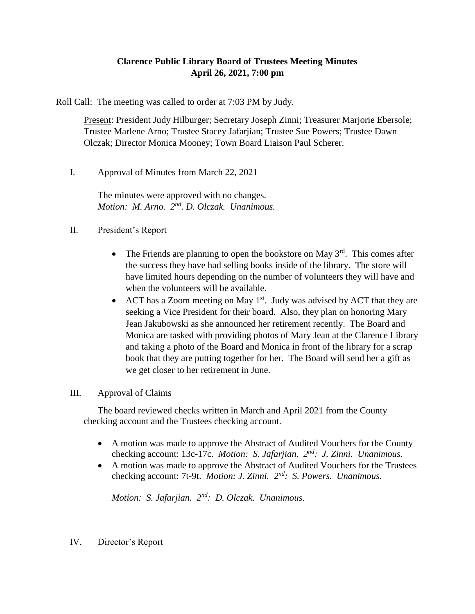# **Clarence Public Library Board of Trustees Meeting Minutes April 26, 2021, 7:00 pm**

Roll Call: The meeting was called to order at 7:03 PM by Judy.

Present: President Judy Hilburger; Secretary Joseph Zinni; Treasurer Marjorie Ebersole; Trustee Marlene Arno; Trustee Stacey Jafarjian; Trustee Sue Powers; Trustee Dawn Olczak; Director Monica Mooney; Town Board Liaison Paul Scherer.

I. Approval of Minutes from March 22, 2021

The minutes were approved with no changes. Motion: M. Arno. 2<sup>nd</sup>. D. Olczak. Unanimous.

# II. President's Report

- The Friends are planning to open the bookstore on May  $3<sup>rd</sup>$ . This comes after the success they have had selling books inside of the library. The store will have limited hours depending on the number of volunteers they will have and when the volunteers will be available.
- ACT has a Zoom meeting on May  $1<sup>st</sup>$ . Judy was advised by ACT that they are seeking a Vice President for their board. Also, they plan on honoring Mary Jean Jakubowski as she announced her retirement recently. The Board and Monica are tasked with providing photos of Mary Jean at the Clarence Library and taking a photo of the Board and Monica in front of the library for a scrap book that they are putting together for her. The Board will send her a gift as we get closer to her retirement in June.

## III. Approval of Claims

The board reviewed checks written in March and April 2021 from the County checking account and the Trustees checking account.

- A motion was made to approve the Abstract of Audited Vouchers for the County checking account: 13c-17c. *Motion: S. Jafarjian. 2nd: J. Zinni. Unanimous.*
- A motion was made to approve the Abstract of Audited Vouchers for the Trustees checking account: 7t-9t. *Motion: J. Zinni.*  $2^{nd}$ : *S. Powers. Unanimous.*

*Motion: S. Jafarjian. 2nd: D. Olczak. Unanimous.*

IV. Director's Report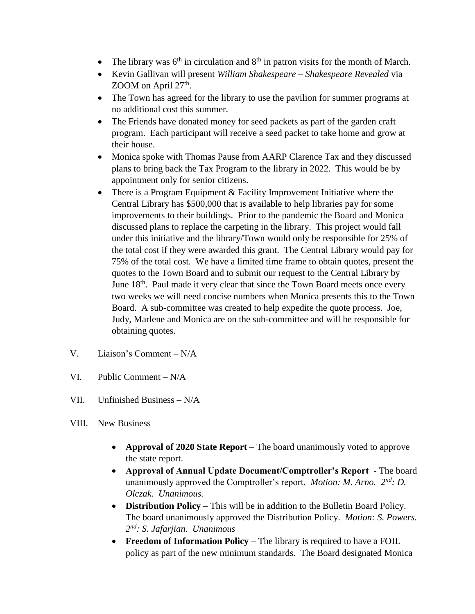- The library was  $6<sup>th</sup>$  in circulation and  $8<sup>th</sup>$  in patron visits for the month of March.
- Kevin Gallivan will present *William Shakespeare – Shakespeare Revealed* via  $Z$ OOM on April  $27<sup>th</sup>$ .
- The Town has agreed for the library to use the pavilion for summer programs at no additional cost this summer.
- The Friends have donated money for seed packets as part of the garden craft program. Each participant will receive a seed packet to take home and grow at their house.
- Monica spoke with Thomas Pause from AARP Clarence Tax and they discussed plans to bring back the Tax Program to the library in 2022. This would be by appointment only for senior citizens.
- There is a Program Equipment & Facility Improvement Initiative where the Central Library has \$500,000 that is available to help libraries pay for some improvements to their buildings. Prior to the pandemic the Board and Monica discussed plans to replace the carpeting in the library. This project would fall under this initiative and the library/Town would only be responsible for 25% of the total cost if they were awarded this grant. The Central Library would pay for 75% of the total cost. We have a limited time frame to obtain quotes, present the quotes to the Town Board and to submit our request to the Central Library by June 18<sup>th</sup>. Paul made it very clear that since the Town Board meets once every two weeks we will need concise numbers when Monica presents this to the Town Board. A sub-committee was created to help expedite the quote process. Joe, Judy, Marlene and Monica are on the sub-committee and will be responsible for obtaining quotes.
- V. Liaison's Comment N/A
- VI. Public Comment N/A
- VII. Unfinished Business N/A
- VIII. New Business
	- **Approval of 2020 State Report** The board unanimously voted to approve the state report.
	- **Approval of Annual Update Document/Comptroller's Report**  The board unanimously approved the Comptroller's report. *Motion: M. Arno. 2nd: D. Olczak. Unanimous.*
	- **Distribution Policy** This will be in addition to the Bulletin Board Policy. The board unanimously approved the Distribution Policy. *Motion: S. Powers. 2 nd: S. Jafarjian. Unanimous*
	- **Freedom of Information Policy** The library is required to have a FOIL policy as part of the new minimum standards. The Board designated Monica